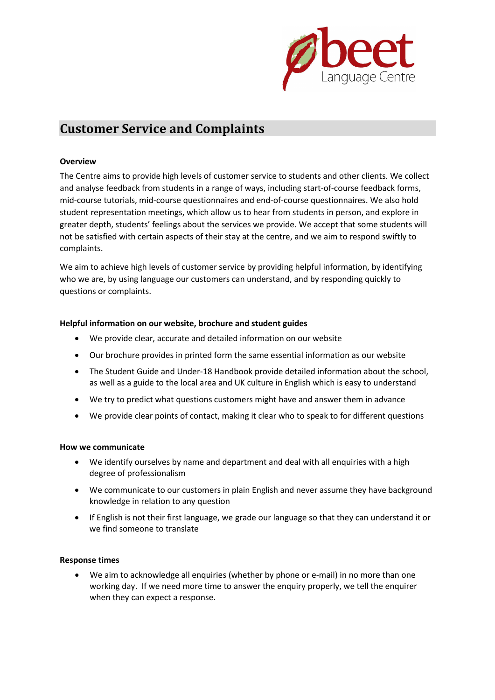

# **Customer Service and Complaints**

## **Overview**

The Centre aims to provide high levels of customer service to students and other clients. We collect and analyse feedback from students in a range of ways, including start-of-course feedback forms, mid-course tutorials, mid-course questionnaires and end-of-course questionnaires. We also hold student representation meetings, which allow us to hear from students in person, and explore in greater depth, students' feelings about the services we provide. We accept that some students will not be satisfied with certain aspects of their stay at the centre, and we aim to respond swiftly to complaints.

We aim to achieve high levels of customer service by providing helpful information, by identifying who we are, by using language our customers can understand, and by responding quickly to questions or complaints.

## **Helpful information on our website, brochure and student guides**

- We provide clear, accurate and detailed information on our website
- Our brochure provides in printed form the same essential information as our website
- The Student Guide and Under-18 Handbook provide detailed information about the school, as well as a guide to the local area and UK culture in English which is easy to understand
- We try to predict what questions customers might have and answer them in advance
- We provide clear points of contact, making it clear who to speak to for different questions

## **How we communicate**

- We identify ourselves by name and department and deal with all enquiries with a high degree of professionalism
- We communicate to our customers in plain English and never assume they have background knowledge in relation to any question
- If English is not their first language, we grade our language so that they can understand it or we find someone to translate

## **Response times**

• We aim to acknowledge all enquiries (whether by phone or e-mail) in no more than one working day. If we need more time to answer the enquiry properly, we tell the enquirer when they can expect a response.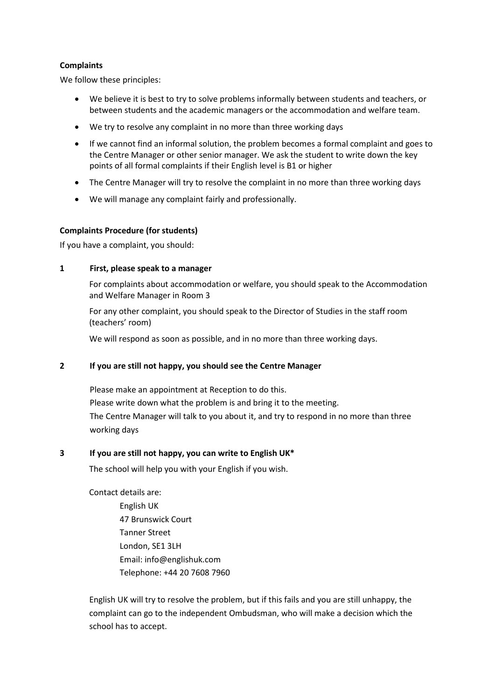## **Complaints**

We follow these principles:

- We believe it is best to try to solve problems informally between students and teachers, or between students and the academic managers or the accommodation and welfare team.
- We try to resolve any complaint in no more than three working days
- If we cannot find an informal solution, the problem becomes a formal complaint and goes to the Centre Manager or other senior manager. We ask the student to write down the key points of all formal complaints if their English level is B1 or higher
- The Centre Manager will try to resolve the complaint in no more than three working days
- We will manage any complaint fairly and professionally.

## **Complaints Procedure (for students)**

If you have a complaint, you should:

## **1 First, please speak to a manager**

For complaints about accommodation or welfare, you should speak to the Accommodation and Welfare Manager in Room 3

For any other complaint, you should speak to the Director of Studies in the staff room (teachers' room)

We will respond as soon as possible, and in no more than three working days.

## **2 If you are still not happy, you should see the Centre Manager**

Please make an appointment at Reception to do this. Please write down what the problem is and bring it to the meeting. The Centre Manager will talk to you about it, and try to respond in no more than three working days

## **3 If you are still not happy, you can write to English UK\***

The school will help you with your English if you wish.

Contact details are: English UK 47 Brunswick Court Tanner Street London, SE1 3LH Email: info@englishuk.com Telephone: +44 20 7608 7960

English UK will try to resolve the problem, but if this fails and you are still unhappy, the complaint can go to the independent Ombudsman, who will make a decision which the school has to accept.